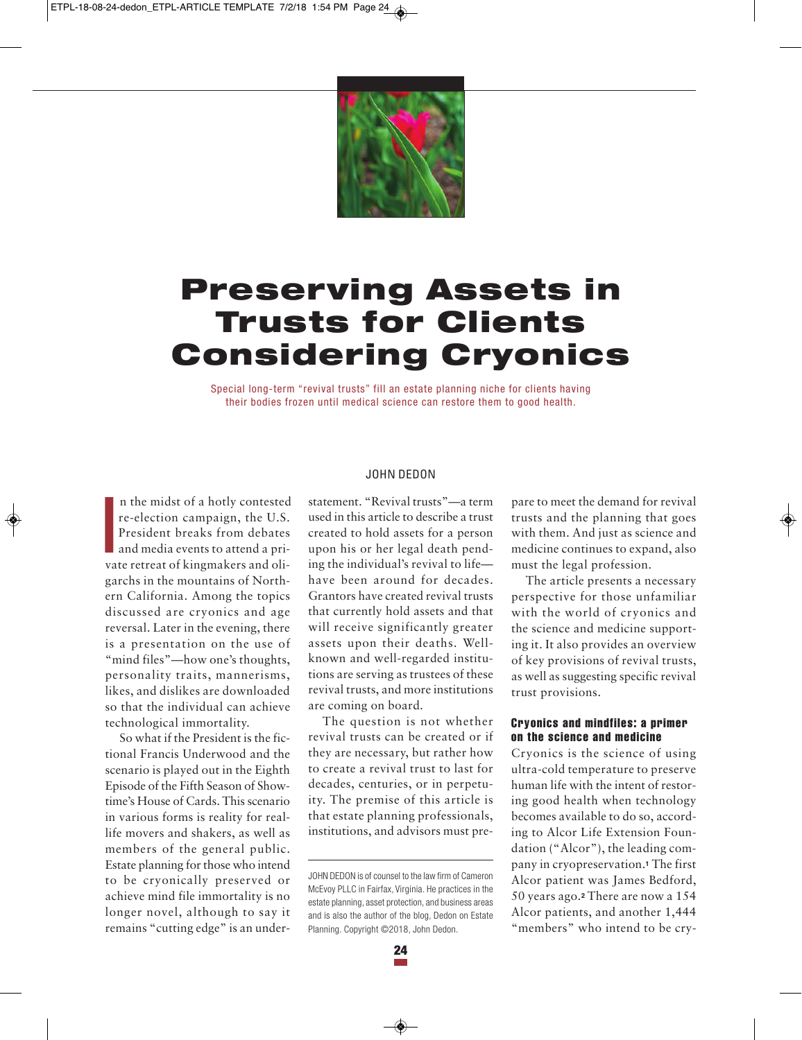

# **Preserving Assets in Trusts for Clients Considering Cryonics**

Special long-term "revival trusts" fill an estate planning niche for clients having their bodies frozen until medical science can restore them to good health.

I n the midst of a hotly contested re-election campaign, the U.S. President breaks from debates and media events to attend a private retreat of kingmakers and oligarchs in the mountains of Northern California. Among the topics discussed are cryonics and age reversal. Later in the evening, there is a presentation on the use of "mind files"—how one's thoughts, personality traits, mannerisms, likes, and dislikes are downloaded so that the individual can achieve technological immortality.

So what if the President is the fictional Francis Underwood and the scenario is played out in the Eighth Episode of the Fifth Season of Showtime's House of Cards. This scenario in various forms is reality for reallife movers and shakers, as well as members of the general public. Estate planning for those who intend to be cryonically preserved or achieve mind file immortality is no longer novel, although to say it remains "cutting edge" is an under-

## JOHN DEDON

statement. "Revival trusts"—a term used in this article to describe a trust created to hold assets for a person upon his or her legal death pending the individual's revival to life have been around for decades. Grantors have created revival trusts that currently hold assets and that will receive significantly greater assets upon their deaths. Wellknown and well-regarded institutions are serving as trustees of these revival trusts, and more institutions are coming on board.

The question is not whether revival trusts can be created or if they are necessary, but rather how to create a revival trust to last for decades, centuries, or in perpetuity. The premise of this article is that estate planning professionals, institutions, and advisors must prepare to meet the demand for revival trusts and the planning that goes with them. And just as science and medicine continues to expand, also must the legal profession.

The article presents a necessary perspective for those unfamiliar with the world of cryonics and the science and medicine supporting it. It also provides an overview of key provisions of revival trusts, as well as suggesting specific revival trust provisions.

#### **Cryonics and mindfiles: a primer on the science and medicine**

Cryonics is the science of using ultra-cold temperature to preserve human life with the intent of restoring good health when technology becomes available to do so, according to Alcor Life Extension Foundation ("Alcor"), the leading company in cryopreservation.**<sup>1</sup>** The first Alcor patient was James Bedford, 50 years ago.**<sup>2</sup>** There are now a 154 Alcor patients, and another 1,444 "members" who intend to be cry-

JOHN DEDON is of counsel to the law firm of Cameron McEvoy PLLC in Fairfax, Virginia. He practices in the estate planning, asset protection, and business areas and is also the author of the blog, Dedon on Estate Planning. Copyright ©2018, John Dedon.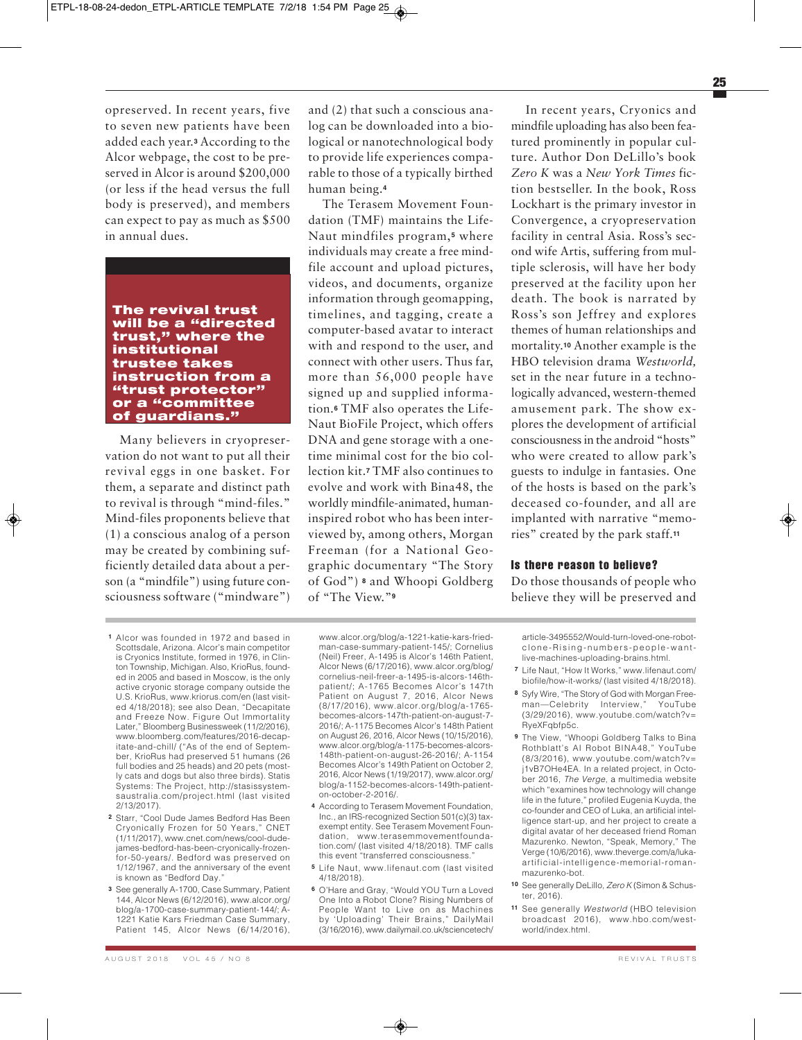opreserved. In recent years, five to seven new patients have been added each year.**<sup>3</sup>** According to the Alcor webpage, the cost to be preserved in Alcor is around \$200,000 (or less if the head versus the full body is preserved), and members can expect to pay as much as \$500 in annual dues.

# **The revival trust will be a "directed trust," where the institutional trustee takes instruction from a "trust protector" or a "committee of guardians."**

Many believers in cryopreservation do not want to put all their revival eggs in one basket. For them, a separate and distinct path to revival is through "mind-files." Mind-files proponents believe that (1) a conscious analog of a person may be created by combining sufficiently detailed data about a person (a "mindfile") using future consciousness software ("mindware")

and (2) that such a conscious analog can be downloaded into a biological or nanotechnological body to provide life experiences comparable to those of a typically birthed human being.**<sup>4</sup>**

The Terasem Movement Foundation (TMF) maintains the Life-Naut mindfiles program,**<sup>5</sup>** where individuals may create a free mindfile account and upload pictures, videos, and documents, organize information through geomapping, timelines, and tagging, create a computer-based avatar to interact with and respond to the user, and connect with other users. Thus far, more than 56,000 people have signed up and supplied information.**<sup>6</sup>** TMF also operates the Life-Naut BioFile Project, which offers DNA and gene storage with a onetime minimal cost for the bio collection kit.**<sup>7</sup>** TMF also continues to evolve and work with Bina48, the worldly mindfile-animated, humaninspired robot who has been interviewed by, among others, Morgan Freeman (for a National Geographic documentary "The Story of God") **<sup>8</sup>** and Whoopi Goldberg of "The View."**<sup>9</sup>**

In recent years, Cryonics and mindfile uploading has also been featured prominently in popular culture. Author Don DeLillo's book *Zero K* was a *New York Times* fiction bestseller. In the book, Ross Lockhart is the primary investor in Convergence, a cryopreservation facility in central Asia. Ross's second wife Artis, suffering from multiple sclerosis, will have her body preserved at the facility upon her death. The book is narrated by Ross's son Jeffrey and explores themes of human relationships and mortality.**<sup>10</sup>** Another example is the HBO television drama *Westworld,* set in the near future in a technologically advanced, western-themed amusement park. The show explores the development of artificial consciousness in the android "hosts" who were created to allow park's guests to indulge in fantasies. One of the hosts is based on the park's deceased co-founder, and all are implanted with narrative "memories" created by the park staff.**<sup>11</sup>**

## **Is there reason to believe?**

Do those thousands of people who believe they will be preserved and

- **1** Alcor was founded in 1972 and based in Scottsdale, Arizona. Alcor's main competitor is Cryonics Institute, formed in 1976, in Clinton Township, Michigan. Also, KrioRus, founded in 2005 and based in Moscow, is the only active cryonic storage company outside the U.S. KrioRus, www.kriorus.com/en (last visited 4/18/2018); see also Dean, "Decapitate and Freeze Now. Figure Out Immortality Later," Bloomberg Businessweek (11/2/2016), www.bloomberg.com/features/2016-decapitate-and-chill/ ("As of the end of September, KrioRus had preserved 51 humans (26 full bodies and 25 heads) and 20 pets (mostly cats and dogs but also three birds). Statis Systems: The Project, http://stasissystemsaustralia.com/project.html (last visited 2/13/2017).
- **2** Starr, "Cool Dude James Bedford Has Been Cryonically Frozen for 50 Years," CNET (1/11/2017), www.cnet.com/news/cool-dudejames-bedford-has-been-cryonically-frozenfor-50-years/. Bedford was preserved on 1/12/1967, and the anniversary of the event is known as "Bedford Day."
- **3** See generally A-1700, Case Summary, Patient 144, Alcor News (6/12/2016), www.alcor.org/ blog/a-1700-case-summary-patient-144/; A-1221 Katie Kars Friedman Case Summary, Patient 145, Alcor News (6/14/2016),

www.alcor.org/blog/a-1221-katie-kars-friedman-case-summary-patient-145/; Cornelius (Neil) Freer, A-1495 is Alcor's 146th Patient, Alcor News (6/17/2016), www.alcor.org/blog/ cornelius-neil-freer-a-1495-is-alcors-146thpatient/; A-1765 Becomes Alcor's 147th Patient on August 7, 2016, Alcor News (8/17/2016), www.alcor.org/blog/a-1765 becomes-alcors-147th-patient-on-august-7- 2016/; A-1175 Becomes Alcor's 148th Patient on August 26, 2016, Alcor News (10/15/2016), www.alcor.org/blog/a-1175-becomes-alcors-148th-patient-on-august-26-2016/; A-1154 Becomes Alcor's 149th Patient on October 2, 2016, Alcor News (1/19/2017), www.alcor.org/ blog/a-1152-becomes-alcors-149th-patienton-october-2-2016/.

- **4** According to Terasem Movement Foundation, Inc., an IRS-recognized Section 501(c)(3) taxexempt entity. See Terasem Movement Foundation, www.terasemmovementfoundation.com/ (last visited 4/18/2018). TMF calls this event "transferred consciousness.
- **5** Life Naut, www.lifenaut.com (last visited 4/18/2018).
- **6** O'Hare and Gray, "Would YOU Turn a Loved One Into a Robot Clone? Rising Numbers of People Want to Live on as Machines by 'Uploading' Their Brains," DailyMail (3/16/2016), www.dailymail.co.uk/sciencetech/

article-3495552/Would-turn-loved-one-robotclone-Rising-numbers-people-wantlive-machines-uploading-brains.html.

- **7** Life Naut, "How It Works," www.lifenaut.com/ biofile/how-it-works/ (last visited 4/18/2018).
- **8** Syfy Wire, "The Story of God with Morgan Freeman—Celebrity Interview," YouTube (3/29/2016), www.youtube.com/watch?v= RyeXFqbfp5c.
- **9** The View, "Whoopi Goldberg Talks to Bina Rothblatt's AI Robot BINA48," YouTube (8/3/2016), www.youtube.com/watch?v= j1vB7OHe4EA. In a related project, in October 2016, *The Verge*, a multimedia website which "examines how technology will change life in the future," profiled Eugenia Kuyda, the co-founder and CEO of Luka, an artificial intelligence start-up, and her project to create a digital avatar of her deceased friend Roman Mazurenko. Newton, "Speak, Memory," The Verge (10/6/2016), www.theverge.com/a/lukaartificial-intelligence-memorial-romanmazurenko-bot.
- **10** See generally DeLillo, *Zero K* (Simon & Schuster, 2016).
- **11** See generally *Westworld* (HBO television broadcast 2016), www.hbo.com/westworld/index.html.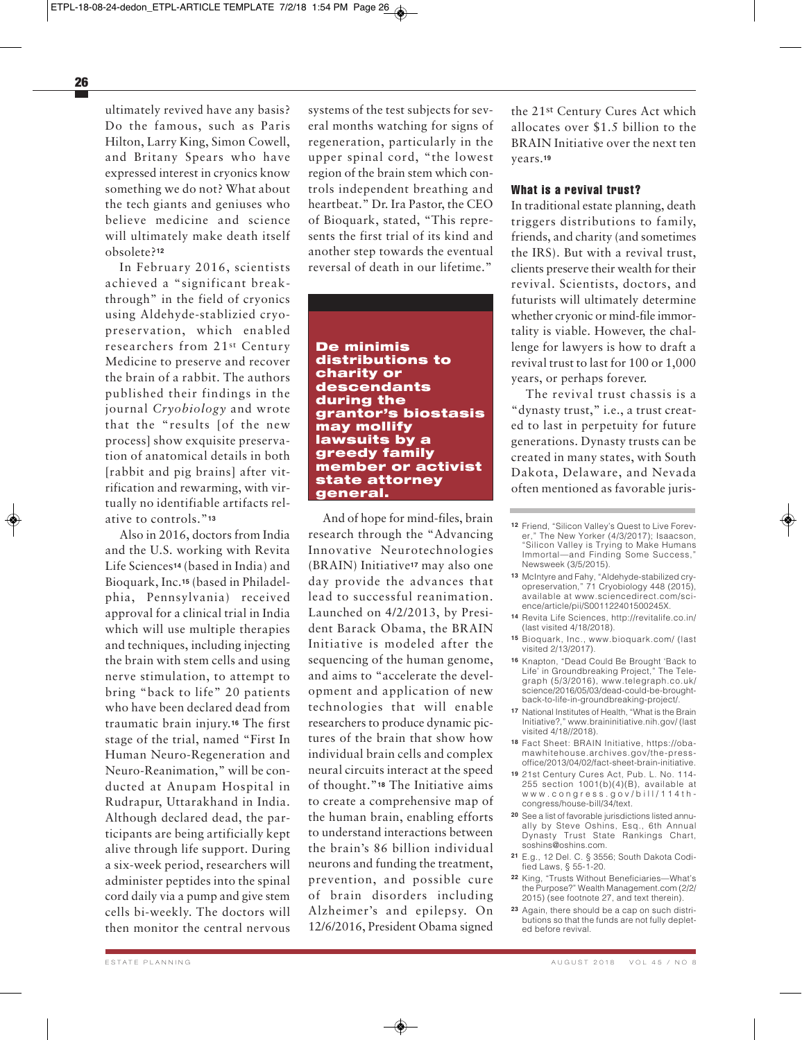ultimately revived have any basis? Do the famous, such as Paris Hilton, Larry King, Simon Cowell, and Britany Spears who have expressed interest in cryonics know something we do not? What about the tech giants and geniuses who believe medicine and science will ultimately make death itself obsolete?**<sup>12</sup>**

In February 2016, scientists achieved a "significant breakthrough" in the field of cryonics using Aldehyde-stablizied cryopreservation, which enabled researchers from 21st Century Medicine to preserve and recover the brain of a rabbit. The authors published their findings in the journal *Cryobiology* and wrote that the "results [of the new process] show exquisite preservation of anatomical details in both [rabbit and pig brains] after vitrification and rewarming, with virtually no identifiable artifacts relative to controls."**<sup>13</sup>**

Also in 2016, doctors from India and the U.S. working with Revita Life Sciences**<sup>14</sup>** (based in India) and Bioquark, Inc.**<sup>15</sup>** (based in Philadelphia, Pennsylvania) received approval for a clinical trial in India which will use multiple therapies and techniques, including injecting the brain with stem cells and using nerve stimulation, to attempt to bring "back to life" 20 patients who have been declared dead from traumatic brain injury.**<sup>16</sup>** The first stage of the trial, named "First In Human Neuro-Regeneration and Neuro-Reanimation," will be conducted at Anupam Hospital in Rudrapur, Uttarakhand in India. Although declared dead, the participants are being artificially kept alive through life support. During a six-week period, researchers will administer peptides into the spinal cord daily via a pump and give stem cells bi-weekly. The doctors will then monitor the central nervous

systems of the test subjects for several months watching for signs of regeneration, particularly in the upper spinal cord, "the lowest region of the brain stem which controls independent breathing and heartbeat." Dr. Ira Pastor, the CEO of Bioquark, stated, "This represents the first trial of its kind and another step towards the eventual reversal of death in our lifetime."

**De minimis distributions to charity or descendants during the grantor's biostasis may mollify lawsuits by a greedy family member or activist state attorney general.**

And of hope for mind-files, brain research through the "Advancing Innovative Neurotechnologies (BRAIN) Initiative**<sup>17</sup>** may also one day provide the advances that lead to successful reanimation. Launched on 4/2/2013, by President Barack Obama, the BRAIN Initiative is modeled after the sequencing of the human genome, and aims to "accelerate the development and application of new technologies that will enable researchers to produce dynamic pictures of the brain that show how individual brain cells and complex neural circuits interact at the speed of thought."**<sup>18</sup>** The Initiative aims to create a comprehensive map of the human brain, enabling efforts to understand interactions between the brain's 86 billion individual neurons and funding the treatment, prevention, and possible cure of brain disorders including Alzheimer's and epilepsy. On 12/6/2016, President Obama signed

the 21st Century Cures Act which allocates over \$1.5 billion to the BRAIN Initiative over the next ten years.**<sup>19</sup>**

#### **What is a revival trust?**

In traditional estate planning, death triggers distributions to family, friends, and charity (and sometimes the IRS). But with a revival trust, clients preserve their wealth for their revival. Scientists, doctors, and futurists will ultimately determine whether cryonic or mind-file immortality is viable. However, the challenge for lawyers is how to draft a revival trust to last for 100 or 1,000 years, or perhaps forever.

The revival trust chassis is a "dynasty trust," i.e., a trust created to last in perpetuity for future generations. Dynasty trusts can be created in many states, with South Dakota, Delaware, and Nevada often mentioned as favorable juris-

- **12** Friend, "Silicon Valley's Quest to Live Forever," The New Yorker (4/3/2017); Isaacson, "Silicon Valley is Trying to Make Humans Immortal—and Finding Some Success," Newsweek (3/5/2015).
- **13** McIntyre and Fahy, "Aldehyde-stabilized cryopreservation," 71 Cryobiology 448 (2015), available at www.sciencedirect.com/science/article/pii/S001122401500245X.
- **14** Revita Life Sciences, http://revitalife.co.in/ (last visited 4/18/2018).
- **15** Bioquark, Inc., www.bioquark.com/ (last visited 2/13/2017).
- **16** Knapton, "Dead Could Be Brought 'Back to Life' in Groundbreaking Project," The Telegraph (5/3/2016), www.telegraph.co.uk/ science/2016/05/03/dead-could-be-broughtback-to-life-in-groundbreaking-project/.
- **17** National Institutes of Health, "What is the Brain Initiative?," www.braininitiative.nih.gov/ (last visited 4/18//2018).
- **18** Fact Sheet: BRAIN Initiative, https://obamawhitehouse.archives.gov/the-pressoffice/2013/04/02/fact-sheet-brain-initiative.
- **19** 21st Century Cures Act, Pub. L. No. 114- 255 section 1001(b)(4)(B), available at www.congress.gov/bill/114thcongress/house-bill/34/text.
- **20** See a list of favorable jurisdictions listed annually by Steve Oshins, Esq., 6th Annual Dynasty Trust State Rankings Chart, soshins@oshins.com.
- **21** E.g., 12 Del. C. § 3556; South Dakota Codified Laws, § 55-1-20.
- **22** King, "Trusts Without Beneficiaries—What's the Purpose?" Wealth Management.com (2/2/ 2015) (see footnote 27, and text therein).
- **23** Again, there should be a cap on such distributions so that the funds are not fully depleted before revival.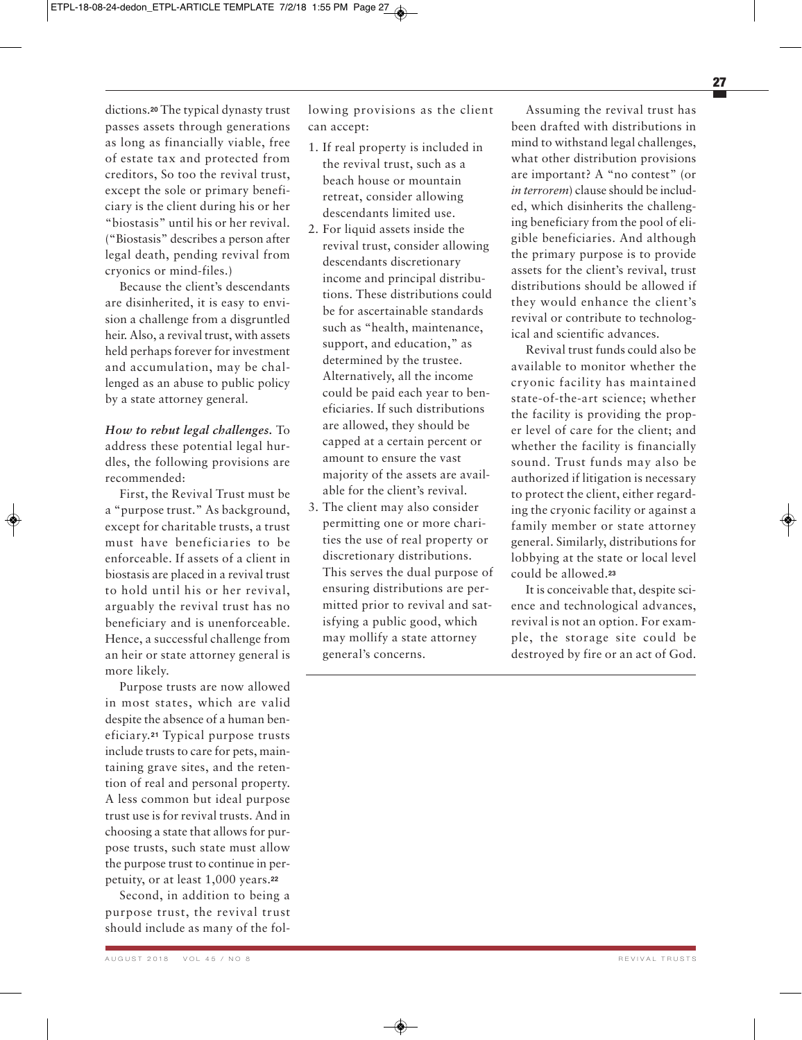dictions.**<sup>20</sup>** The typical dynasty trust passes assets through generations as long as financially viable, free of estate tax and protected from creditors, So too the revival trust, except the sole or primary beneficiary is the client during his or her "biostasis" until his or her revival. ("Biostasis" describes a person after legal death, pending revival from cryonics or mind-files.)

Because the client's descendants are disinherited, it is easy to envision a challenge from a disgruntled heir. Also, a revival trust, with assets held perhaps forever for investment and accumulation, may be challenged as an abuse to public policy by a state attorney general.

*How to rebut legal challenges.* To address these potential legal hurdles, the following provisions are recommended:

First, the Revival Trust must be a "purpose trust." As background, except for charitable trusts, a trust must have beneficiaries to be enforceable. If assets of a client in biostasis are placed in a revival trust to hold until his or her revival, arguably the revival trust has no beneficiary and is unenforceable. Hence, a successful challenge from an heir or state attorney general is more likely.

Purpose trusts are now allowed in most states, which are valid despite the absence of a human beneficiary.**<sup>21</sup>** Typical purpose trusts include trusts to care for pets, maintaining grave sites, and the retention of real and personal property. A less common but ideal purpose trust use is for revival trusts. And in choosing a state that allows for purpose trusts, such state must allow the purpose trust to continue in perpetuity, or at least 1,000 years.**<sup>22</sup>**

Second, in addition to being a purpose trust, the revival trust should include as many of the fol-

A U GUST 2018 VOL 45 / NO 8 REVIVAL TRUSTS

lowing provisions as the client can accept:

- 1. If real property is included in the revival trust, such as a beach house or mountain retreat, consider allowing descendants limited use.
- 2. For liquid assets inside the revival trust, consider allowing descendants discretionary income and principal distributions. These distributions could be for ascertainable standards such as "health, maintenance, support, and education," as determined by the trustee. Alternatively, all the income could be paid each year to beneficiaries. If such distributions are allowed, they should be capped at a certain percent or amount to ensure the vast majority of the assets are available for the client's revival.
- 3. The client may also consider permitting one or more charities the use of real property or discretionary distributions. This serves the dual purpose of ensuring distributions are permitted prior to revival and satisfying a public good, which may mollify a state attorney general's concerns.

Assuming the revival trust has been drafted with distributions in mind to withstand legal challenges, what other distribution provisions are important? A "no contest" (or *in terrorem*) clause should be included, which disinherits the challenging beneficiary from the pool of eligible beneficiaries. And although the primary purpose is to provide assets for the client's revival, trust distributions should be allowed if they would enhance the client's revival or contribute to technological and scientific advances.

Revival trust funds could also be available to monitor whether the cryonic facility has maintained state-of-the-art science; whether the facility is providing the proper level of care for the client; and whether the facility is financially sound. Trust funds may also be authorized if litigation is necessary to protect the client, either regarding the cryonic facility or against a family member or state attorney general. Similarly, distributions for lobbying at the state or local level could be allowed.**<sup>23</sup>**

It is conceivable that, despite science and technological advances, revival is not an option. For example, the storage site could be destroyed by fire or an act of God.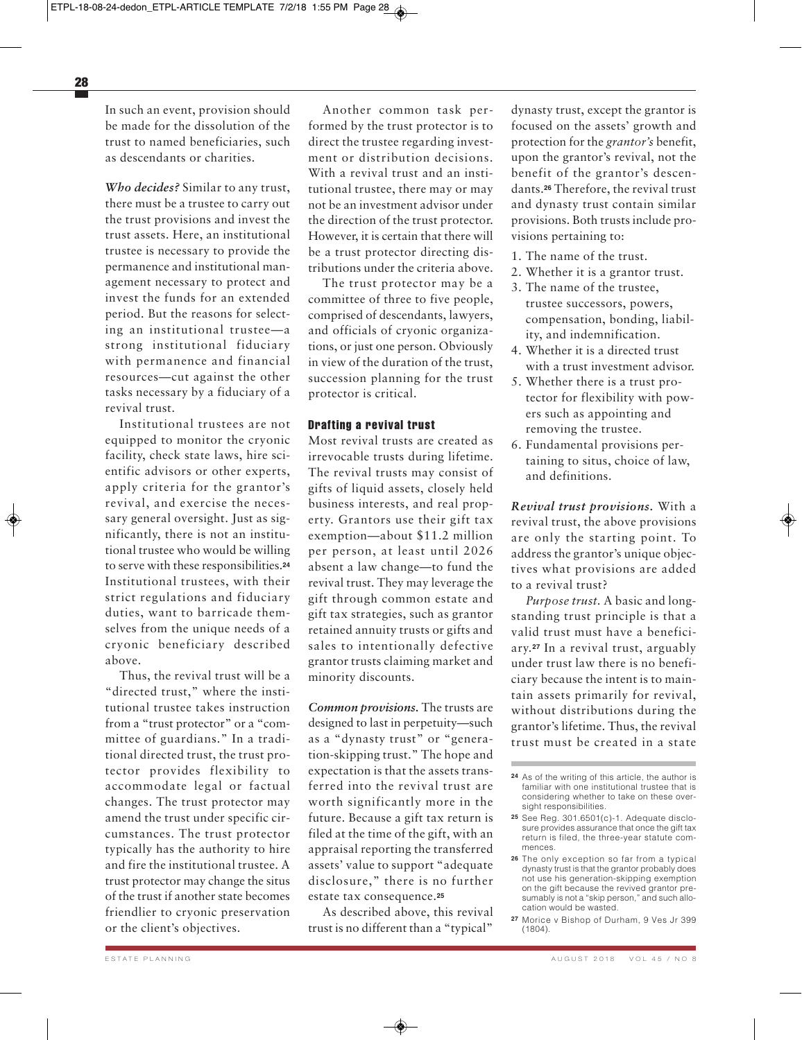In such an event, provision should be made for the dissolution of the trust to named beneficiaries, such as descendants or charities.

*Who decides?* Similar to any trust, there must be a trustee to carry out the trust provisions and invest the trust assets. Here, an institutional trustee is necessary to provide the permanence and institutional management necessary to protect and invest the funds for an extended period. But the reasons for selecting an institutional trustee—a strong institutional fiduciary with permanence and financial resources—cut against the other tasks necessary by a fiduciary of a revival trust.

Institutional trustees are not equipped to monitor the cryonic facility, check state laws, hire scientific advisors or other experts, apply criteria for the grantor's revival, and exercise the necessary general oversight. Just as significantly, there is not an institutional trustee who would be willing to serve with these responsibilities.**<sup>24</sup>** Institutional trustees, with their strict regulations and fiduciary duties, want to barricade themselves from the unique needs of a cryonic beneficiary described above.

Thus, the revival trust will be a "directed trust," where the institutional trustee takes instruction from a "trust protector" or a "committee of guardians." In a traditional directed trust, the trust protector provides flexibility to accommodate legal or factual changes. The trust protector may amend the trust under specific circumstances. The trust protector typically has the authority to hire and fire the institutional trustee. A trust protector may change the situs of the trust if another state becomes friendlier to cryonic preservation or the client's objectives.

Another common task performed by the trust protector is to direct the trustee regarding investment or distribution decisions. With a revival trust and an institutional trustee, there may or may not be an investment advisor under the direction of the trust protector. However, it is certain that there will be a trust protector directing distributions under the criteria above.

The trust protector may be a committee of three to five people, comprised of descendants, lawyers, and officials of cryonic organizations, or just one person. Obviously in view of the duration of the trust, succession planning for the trust protector is critical.

### **Drafting a revival trust**

Most revival trusts are created as irrevocable trusts during lifetime. The revival trusts may consist of gifts of liquid assets, closely held business interests, and real property. Grantors use their gift tax exemption—about \$11.2 million per person, at least until 2026 absent a law change—to fund the revival trust. They may leverage the gift through common estate and gift tax strategies, such as grantor retained annuity trusts or gifts and sales to intentionally defective grantor trusts claiming market and minority discounts.

*Common provisions.* The trusts are designed to last in perpetuity—such as a "dynasty trust" or "generation-skipping trust." The hope and expectation is that the assets transferred into the revival trust are worth significantly more in the future. Because a gift tax return is filed at the time of the gift, with an appraisal reporting the transferred assets' value to support "adequate disclosure," there is no further estate tax consequence.**<sup>25</sup>**

As described above, this revival trust is no different than a "typical"

dynasty trust, except the grantor is focused on the assets' growth and protection for the *grantor's* benefit, upon the grantor's revival, not the benefit of the grantor's descendants.**<sup>26</sup>** Therefore, the revival trust and dynasty trust contain similar provisions. Both trusts include provisions pertaining to:

- 1. The name of the trust.
- 2. Whether it is a grantor trust.
- 3. The name of the trustee, trustee successors, powers, compensation, bonding, liability, and indemnification.
- 4. Whether it is a directed trust with a trust investment advisor.
- 5. Whether there is a trust protector for flexibility with powers such as appointing and removing the trustee.
- 6. Fundamental provisions pertaining to situs, choice of law, and definitions.

*Revival trust provisions.* With a revival trust, the above provisions are only the starting point. To address the grantor's unique objectives what provisions are added to a revival trust?

*Purpose trust.* A basic and longstanding trust principle is that a valid trust must have a beneficiary.**<sup>27</sup>** In a revival trust, arguably under trust law there is no beneficiary because the intent is to maintain assets primarily for revival, without distributions during the grantor's lifetime. Thus, the revival trust must be created in a state

**26** The only exception so far from a typical dynasty trust is that the grantor probably does not use his generation-skipping exemption on the gift because the revived grantor presumably is not a "skip person," and such allocation would be wasted.

**<sup>24</sup>** As of the writing of this article, the author is familiar with one institutional trustee that is considering whether to take on these oversight responsibilities.

**<sup>25</sup>** See Reg. 301.6501(c)-1. Adequate disclosure provides assurance that once the gift tax return is filed, the three-year statute commences.

**<sup>27</sup>** Morice v Bishop of Durham, 9 Ves Jr 399 (1804).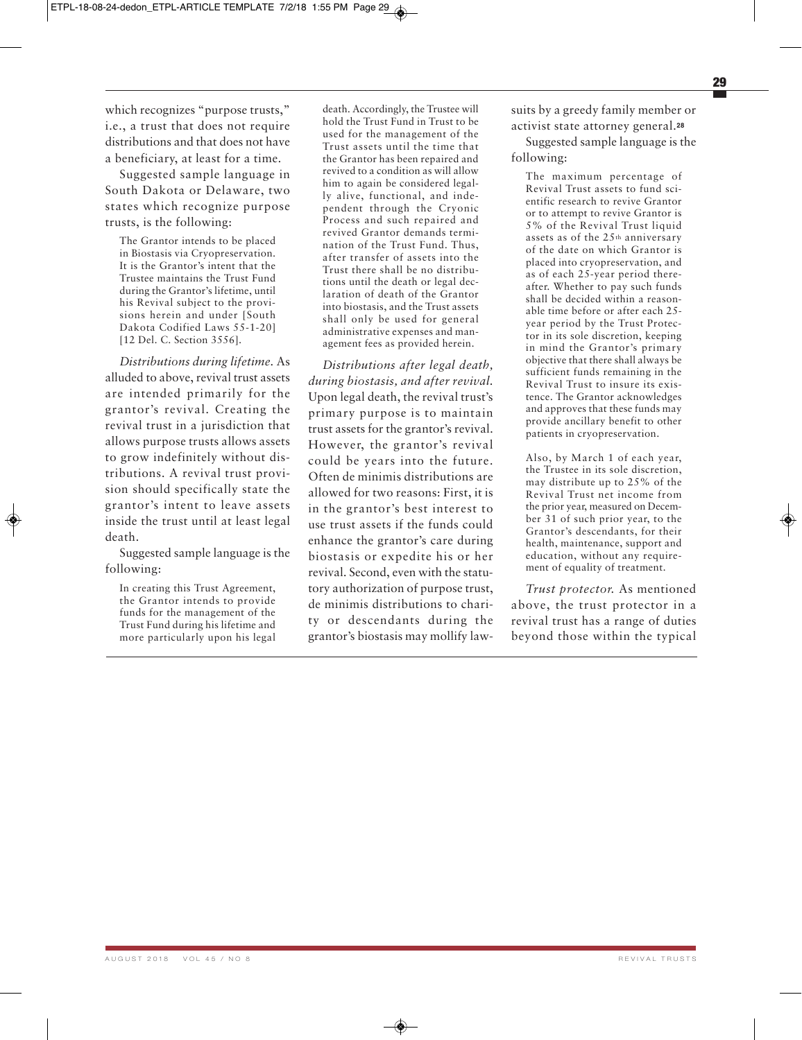which recognizes "purpose trusts," i.e., a trust that does not require distributions and that does not have a beneficiary, at least for a time.

Suggested sample language in South Dakota or Delaware, two states which recognize purpose trusts, is the following:

The Grantor intends to be placed in Biostasis via Cryopreservation. It is the Grantor's intent that the Trustee maintains the Trust Fund during the Grantor's lifetime, until his Revival subject to the provisions herein and under [South Dakota Codified Laws 55-1-20] [12 Del. C. Section 3556].

*Distributions during lifetime.* As alluded to above, revival trust assets are intended primarily for the grantor's revival. Creating the revival trust in a jurisdiction that allows purpose trusts allows assets to grow indefinitely without distributions. A revival trust provision should specifically state the grantor's intent to leave assets inside the trust until at least legal death.

Suggested sample language is the following:

In creating this Trust Agreement, the Grantor intends to provide funds for the management of the Trust Fund during his lifetime and more particularly upon his legal death. Accordingly, the Trustee will hold the Trust Fund in Trust to be used for the management of the Trust assets until the time that the Grantor has been repaired and revived to a condition as will allow him to again be considered legally alive, functional, and independent through the Cryonic Process and such repaired and revived Grantor demands termination of the Trust Fund. Thus, after transfer of assets into the Trust there shall be no distributions until the death or legal declaration of death of the Grantor into biostasis, and the Trust assets shall only be used for general administrative expenses and management fees as provided herein.

*Distributions after legal death, during biostasis, and after revival.* Upon legal death, the revival trust's primary purpose is to maintain trust assets for the grantor's revival. However, the grantor's revival could be years into the future. Often de minimis distributions are allowed for two reasons: First, it is in the grantor's best interest to use trust assets if the funds could enhance the grantor's care during biostasis or expedite his or her revival. Second, even with the statutory authorization of purpose trust, de minimis distributions to charity or descendants during the grantor's biostasis may mollify lawsuits by a greedy family member or activist state attorney general.**<sup>28</sup>**

Suggested sample language is the following:

The maximum percentage of Revival Trust assets to fund scientific research to revive Grantor or to attempt to revive Grantor is 5% of the Revival Trust liquid assets as of the 25th anniversary of the date on which Grantor is placed into cryopreservation, and as of each 25-year period thereafter. Whether to pay such funds shall be decided within a reasonable time before or after each 25 year period by the Trust Protector in its sole discretion, keeping in mind the Grantor's primary objective that there shall always be sufficient funds remaining in the Revival Trust to insure its existence. The Grantor acknowledges and approves that these funds may provide ancillary benefit to other patients in cryopreservation.

Also, by March 1 of each year, the Trustee in its sole discretion, may distribute up to 25% of the Revival Trust net income from the prior year, measured on December 31 of such prior year, to the Grantor's descendants, for their health, maintenance, support and education, without any requirement of equality of treatment.

*Trust protector.* As mentioned above, the trust protector in a revival trust has a range of duties beyond those within the typical